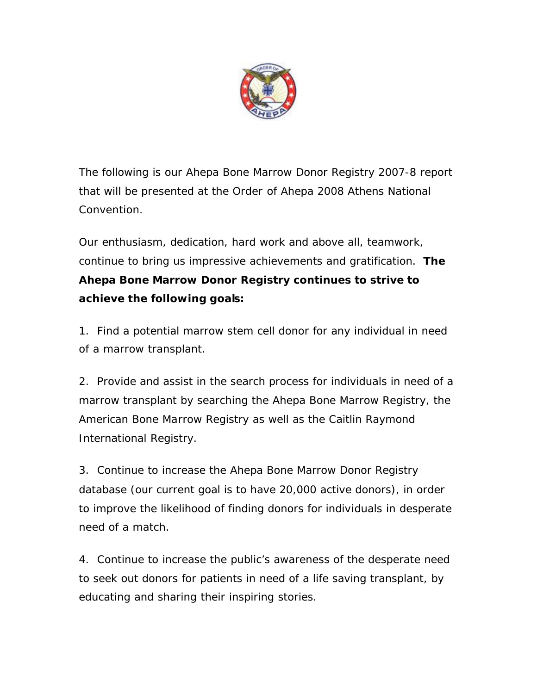

*The following is our Ahepa Bone Marrow Donor Registry 2007-8 report that will be presented at the Order of Ahepa 2008 Athens National Convention.*

*Our enthusiasm, dedication, hard work and above all, teamwork, continue to bring us impressive achievements and gratification. The Ahepa Bone Marrow Donor Registry continues to strive to achieve the following goals:*

*1. Find a potential marrow stem cell donor for any individual in need of a marrow transplant.*

*2. Provide and assist in the search process for individuals in need of a marrow transplant by searching the Ahepa Bone Marrow Registry, the American Bone Marrow Registry as well as the Caitlin Raymond International Registry.*

*3. Continue to increase the Ahepa Bone Marrow Donor Registry database (our current goal is to have 20,000 active donors), in order to improve the likelihood of finding donors for individuals in desperate need of a match.*

*4. Continue to increase the public's awareness of the desperate need to seek out donors for patients in need of a life saving transplant, by educating and sharing their inspiring stories.*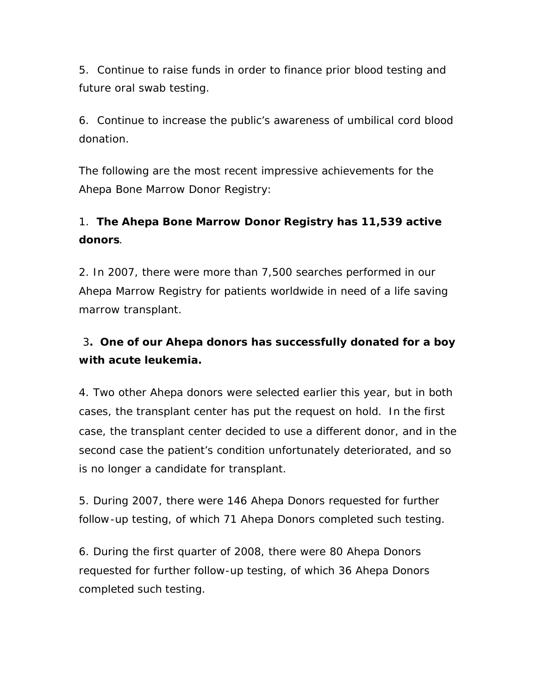*5. Continue to raise funds in order to finance prior blood testing and future oral swab testing.*

*6. Continue to increase the public's awareness of umbilical cord blood donation.*

*The following are the most recent impressive achievements for the Ahepa Bone Marrow Donor Registry:*

## *1. The Ahepa Bone Marrow Donor Registry has 11,539 active donors.*

*2. In 2007, there were more than 7,500 searches performed in our Ahepa Marrow Registry for patients worldwide in need of a life saving marrow transplant.*

## *3. One of our Ahepa donors has successfully donated for a boy with acute leukemia.*

*4. Two other Ahepa donors were selected earlier this year, but in both cases, the transplant center has put the request on hold. In the first case, the transplant center decided to use a different donor, and in the second case the patient's condition unfortunately deteriorated, and so is no longer a candidate for transplant.*

*5. During 2007, there were 146 Ahepa Donors requested for further follow-up testing, of which 71 Ahepa Donors completed such testing.*

*6. During the first quarter of 2008, there were 80 Ahepa Donors requested for further follow-up testing, of which 36 Ahepa Donors completed such testing.*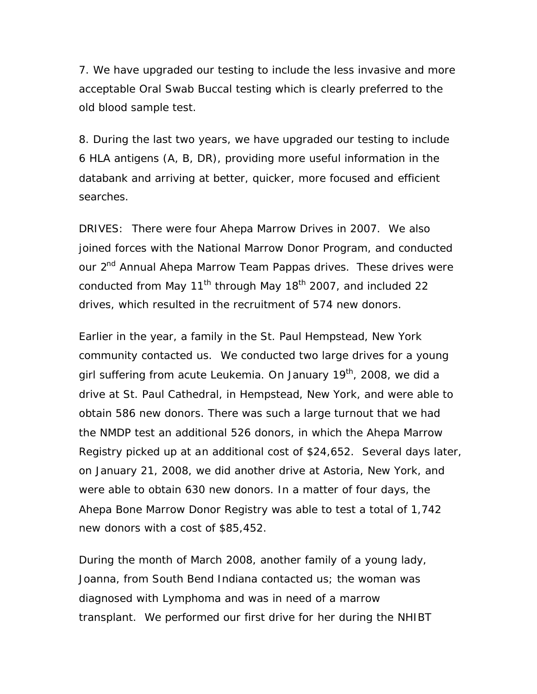*7. We have upgraded our testing to include the less invasive and more acceptable Oral Swab Buccal testing which is clearly preferred to the old blood sample test.*

*8. During the last two years, we have upgraded our testing to include 6 HLA antigens (A, B, DR), providing more useful information in the databank and arriving at better, quicker, more focused and efficient searches.*

*DRIVES: There were four Ahepa Marrow Drives in 2007. We also joined forces with the National Marrow Donor Program, and conducted our 2nd Annual Ahepa Marrow Team Pappas drives. These drives were conducted from May 11th through May 18th 2007, and included 22 drives, which resulted in the recruitment of 574 new donors.*

*Earlier in the year, a family in the St. Paul Hempstead, New York community contacted us. We conducted two large drives for a young girl suffering from acute Leukemia. On January 19th, 2008, we did a drive at St. Paul Cathedral, in Hempstead, New York, and were able to obtain 586 new donors. There was such a large turnout that we had the NMDP test an additional 526 donors, in which the Ahepa Marrow Registry picked up at an additional cost of \$24,652. Several days later, on January 21, 2008, we did another drive at Astoria, New York, and were able to obtain 630 new donors. In a matter of four days, the Ahepa Bone Marrow Donor Registry was able to test a total of 1,742 new donors with a cost of \$85,452.*

*During the month of March 2008, another family of a young lady, Joanna, from South Bend Indiana contacted us; the woman was diagnosed with Lymphoma and was in need of a marrow transplant. We performed our first drive for her during the NHIBT*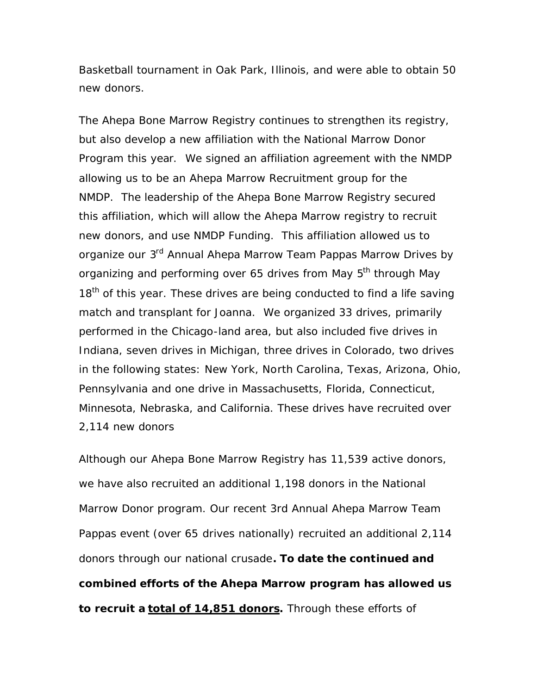*Basketball tournament in Oak Park, Illinois, and were able to obtain 50 new donors.* 

*The Ahepa Bone Marrow Registry continues to strengthen its registry, but also develop a new affiliation with the National Marrow Donor Program this year. We signed an affiliation agreement with the NMDP allowing us to be an Ahepa Marrow Recruitment group for the NMDP. The leadership of the Ahepa Bone Marrow Registry secured this affiliation, which will allow the Ahepa Marrow registry to recruit new donors, and use NMDP Funding. This affiliation allowed us to organize our 3rd Annual Ahepa Marrow Team Pappas Marrow Drives by organizing and performing over 65 drives from May 5th through May 18th of this year. These drives are being conducted to find a life saving match and transplant for Joanna. We organized 33 drives, primarily performed in the Chicago-land area, but also included five drives in Indiana, seven drives in Michigan, three drives in Colorado, two drives in the following states: New York, North Carolina, Texas, Arizona, Ohio, Pennsylvania and one drive in Massachusetts, Florida, Connecticut, Minnesota, Nebraska, and California. These drives have recruited over 2,114 new donors*

*Although our Ahepa Bone Marrow Registry has 11,539 active donors, we have also recruited an additional 1,198 donors in the National Marrow Donor program. Our recent 3rd Annual Ahepa Marrow Team Pappas event (over 65 drives nationally) recruited an additional 2,114 donors through our national crusade. To date the continued and combined efforts of the Ahepa Marrow program has allowed us to recruit a total of 14,851 donors. Through these efforts of*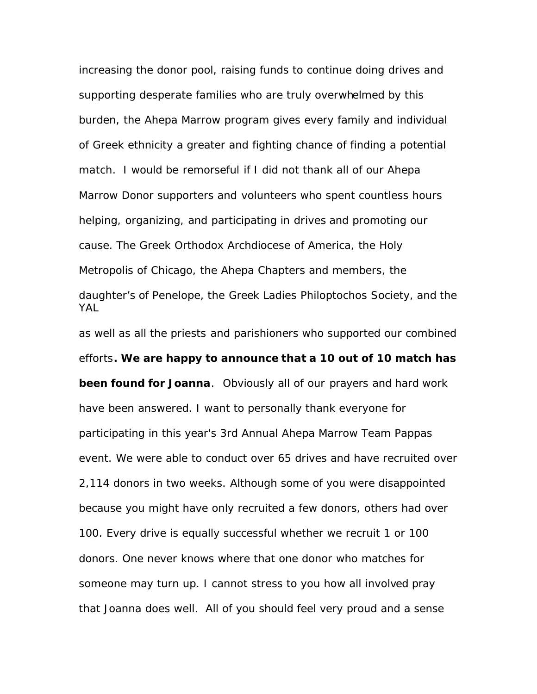*increasing the donor pool, raising funds to continue doing drives and supporting desperate families who are truly overwhelmed by this burden, the Ahepa Marrow program gives every family and individual of Greek ethnicity a greater and fighting chance of finding a potential match. I would be remorseful if I did not thank all of our Ahepa Marrow Donor supporters and volunteers who spent countless hours helping, organizing, and participating in drives and promoting our cause. The Greek Orthodox Archdiocese of America, the Holy Metropolis of Chicago, the Ahepa Chapters and members, the daughter's of Penelope, the Greek Ladies Philoptochos Society, and the YAL* 

*as well as all the priests and parishioners who supported our combined efforts. We are happy to announce that a 10 out of 10 match has been found for Joanna. Obviously all of our prayers and hard work have been answered. I want to personally thank everyone for participating in this year's 3rd Annual Ahepa Marrow Team Pappas event. We were able to conduct over 65 drives and have recruited over 2,114 donors in two weeks. Although some of you were disappointed because you might have only recruited a few donors, others had over 100. Every drive is equally successful whether we recruit 1 or 100 donors. One never knows where that one donor who matches for someone may turn up. I cannot stress to you how all involved pray that Joanna does well. All of you should feel very proud and a sense*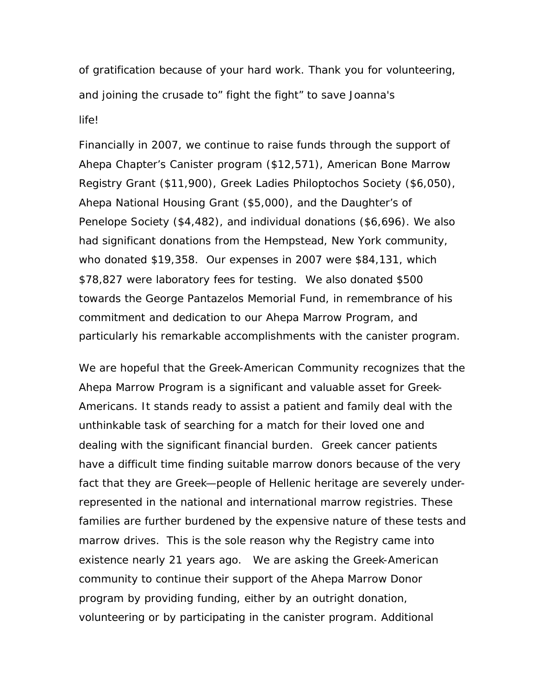*of gratification because of your hard work. Thank you for volunteering, and joining the crusade to" fight the fight" to save Joanna's life!*

*Financially in 2007, we continue to raise funds through the support of Ahepa Chapter's Canister program (\$12,571), American Bone Marrow Registry Grant (\$11,900), Greek Ladies Philoptochos Society (\$6,050), Ahepa National Housing Grant (\$5,000), and the Daughter's of Penelope Society (\$4,482), and individual donations (\$6,696). We also had significant donations from the Hempstead, New York community, who donated \$19,358. Our expenses in 2007 were \$84,131, which \$78,827 were laboratory fees for testing. We also donated \$500 towards the George Pantazelos Memorial Fund, in remembrance of his commitment and dedication to our Ahepa Marrow Program, and particularly his remarkable accomplishments with the canister program.*

*We are hopeful that the Greek-American Community recognizes that the Ahepa Marrow Program is a significant and valuable asset for Greek-Americans. It stands ready to assist a patient and family deal with the unthinkable task of searching for a match for their loved one and dealing with the significant financial burden. Greek cancer patients have a difficult time finding suitable marrow donors because of the very fact that they are Greek—people of Hellenic heritage are severely underrepresented in the national and international marrow registries. These families are further burdened by the expensive nature of these tests and marrow drives. This is the sole reason why the Registry came into existence nearly 21 years ago. We are asking the Greek-American community to continue their support of the Ahepa Marrow Donor program by providing funding, either by an outright donation, volunteering or by participating in the canister program. Additional*